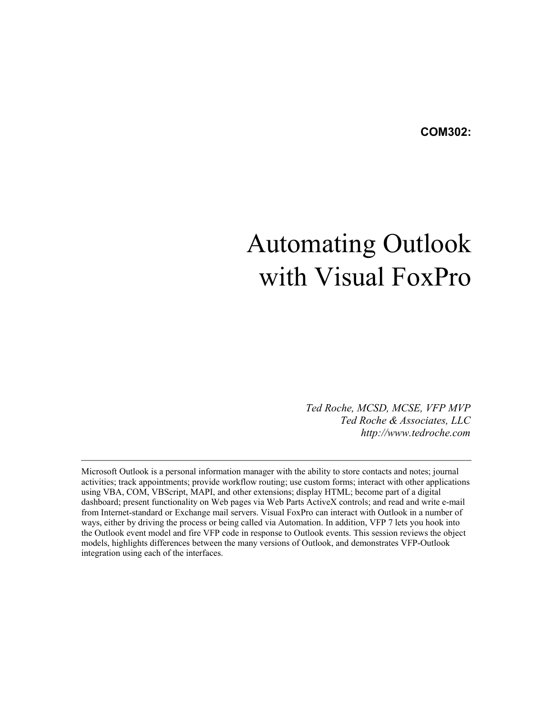# Automating Outlook with Visual FoxPro

*Ted Roche, MCSD, MCSE, VFP MVP Ted Roche & Associates, LLC http://www.tedroche.com*

Microsoft Outlook is a personal information manager with the ability to store contacts and notes; journal activities; track appointments; provide workflow routing; use custom forms; interact with other applications using VBA, COM, VBScript, MAPI, and other extensions; display HTML; become part of a digital dashboard; present functionality on Web pages via Web Parts ActiveX controls; and read and write e-mail from Internet-standard or Exchange mail servers. Visual FoxPro can interact with Outlook in a number of ways, either by driving the process or being called via Automation. In addition, VFP 7 lets you hook into the Outlook event model and fire VFP code in response to Outlook events. This session reviews the object models, highlights differences between the many versions of Outlook, and demonstrates VFP-Outlook integration using each of the interfaces.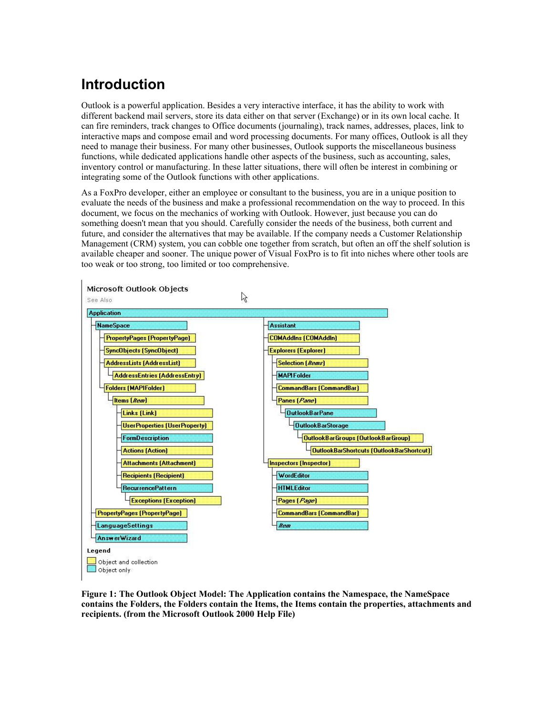# **Introduction**

Outlook is a powerful application. Besides a very interactive interface, it has the ability to work with different backend mail servers, store its data either on that server (Exchange) or in its own local cache. It can fire reminders, track changes to Office documents (journaling), track names, addresses, places, link to interactive maps and compose email and word processing documents. For many offices, Outlook is all they need to manage their business. For many other businesses, Outlook supports the miscellaneous business functions, while dedicated applications handle other aspects of the business, such as accounting, sales, inventory control or manufacturing. In these latter situations, there will often be interest in combining or integrating some of the Outlook functions with other applications.

As a FoxPro developer, either an employee or consultant to the business, you are in a unique position to evaluate the needs of the business and make a professional recommendation on the way to proceed. In this document, we focus on the mechanics of working with Outlook. However, just because you can do something doesn't mean that you should. Carefully consider the needs of the business, both current and future, and consider the alternatives that may be available. If the company needs a Customer Relationship Management (CRM) system, you can cobble one together from scratch, but often an off the shelf solution is available cheaper and sooner. The unique power of Visual FoxPro is to fit into niches where other tools are too weak or too strong, too limited or too comprehensive.



**Figure 1: The Outlook Object Model: The Application contains the Namespace, the NameSpace contains the Folders, the Folders contain the Items, the Items contain the properties, attachments and recipients. (from the Microsoft Outlook 2000 Help File)**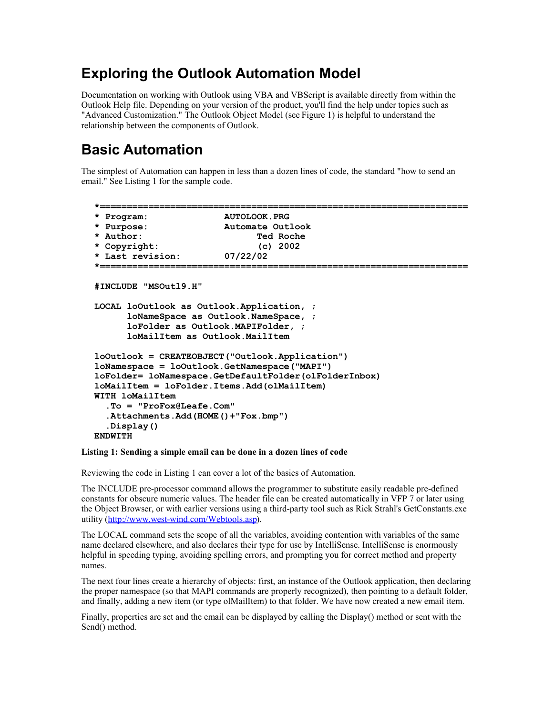#### **Exploring the Outlook Automation Model**

Documentation on working with Outlook using VBA and VBScript is available directly from within the Outlook Help file. Depending on your version of the product, you'll find the help under topics such as "Advanced Customization." The Outlook Object Model (see Figure 1) is helpful to understand the relationship between the components of Outlook.

# **Basic Automation**

The simplest of Automation can happen in less than a dozen lines of code, the standard "how to send an email." See Listing 1 for the sample code.

```
*====================================================================
* Program: AUTOLOOK.PRG
* Purpose: Automate Outlook
* Author: Ted Roche
* Copyright: (c) 2002 
* Last revision: 07/22/02
*====================================================================
#INCLUDE "MSOutl9.H"
LOCAL loOutlook as Outlook.Application, ;
       loNameSpace as Outlook.NameSpace, ;
       loFolder as Outlook.MAPIFolder, ;
       loMailItem as Outlook.MailItem
loOutlook = CREATEOBJECT("Outlook.Application")
loNamespace = loOutlook.GetNamespace("MAPI")
loFolder= loNamespace.GetDefaultFolder(olFolderInbox)
loMailItem = loFolder.Items.Add(olMailItem)
WITH loMailItem
   .To = "ProFox@Leafe.Com"
   .Attachments.Add(HOME()+"Fox.bmp")
   .Display()
ENDWITH
```
#### **Listing 1: Sending a simple email can be done in a dozen lines of code**

Reviewing the code in Listing 1 can cover a lot of the basics of Automation.

The INCLUDE pre-processor command allows the programmer to substitute easily readable pre-defined constants for obscure numeric values. The header file can be created automatically in VFP 7 or later using the Object Browser, or with earlier versions using a third-party tool such as Rick Strahl's GetConstants.exe utility (http://www.west-wind.com/Webtools.asp).

The LOCAL command sets the scope of all the variables, avoiding contention with variables of the same name declared elsewhere, and also declares their type for use by IntelliSense. IntelliSense is enormously helpful in speeding typing, avoiding spelling errors, and prompting you for correct method and property names.

The next four lines create a hierarchy of objects: first, an instance of the Outlook application, then declaring the proper namespace (so that MAPI commands are properly recognized), then pointing to a default folder, and finally, adding a new item (or type olMailItem) to that folder. We have now created a new email item.

Finally, properties are set and the email can be displayed by calling the Display() method or sent with the Send() method.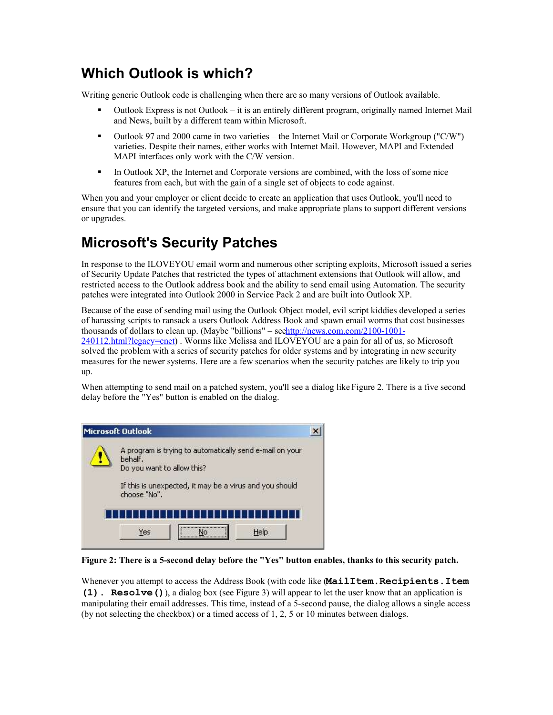### **Which Outlook is which?**

Writing generic Outlook code is challenging when there are so many versions of Outlook available.

- Outlook Express is not Outlook it is an entirely different program, originally named Internet Mail and News, built by a different team within Microsoft.
- Outlook 97 and 2000 came in two varieties the Internet Mail or Corporate Workgroup ("C/W") varieties. Despite their names, either works with Internet Mail. However, MAPI and Extended MAPI interfaces only work with the C/W version.
- In Outlook XP, the Internet and Corporate versions are combined, with the loss of some nice features from each, but with the gain of a single set of objects to code against.

When you and your employer or client decide to create an application that uses Outlook, you'll need to ensure that you can identify the targeted versions, and make appropriate plans to support different versions or upgrades.

# **Microsoft's Security Patches**

In response to the ILOVEYOU email worm and numerous other scripting exploits, Microsoft issued a series of Security Update Patches that restricted the types of attachment extensions that Outlook will allow, and restricted access to the Outlook address book and the ability to send email using Automation. The security patches were integrated into Outlook 2000 in Service Pack 2 and are built into Outlook XP.

Because of the ease of sending mail using the Outlook Object model, evil script kiddies developed a series of harassing scripts to ransack a users Outlook Address Book and spawn email worms that cost businesses thousands of dollars to clean up. (Maybe "billions" – seehttp://news.com.com/2100-1001-

240112.html?legacy=cnet) . Worms like Melissa and ILOVEYOU are a pain for all of us, so Microsoft solved the problem with a series of security patches for older systems and by integrating in new security measures for the newer systems. Here are a few scenarios when the security patches are likely to trip you up.

When attempting to send mail on a patched system, you'll see a dialog like Figure 2. There is a five second delay before the "Yes" button is enabled on the dialog.

|  | <b>Microsoft Outlook</b>                                                                          |  |  |
|--|---------------------------------------------------------------------------------------------------|--|--|
|  | A program is trying to automatically send e-mail on your<br>behalf.<br>Do you want to allow this? |  |  |
|  | If this is unexpected, it may be a virus and you should<br>choose "No".                           |  |  |
|  |                                                                                                   |  |  |
|  | Help<br>Yes<br>No                                                                                 |  |  |

**Figure 2: There is a 5-second delay before the "Yes" button enables, thanks to this security patch.**

Whenever you attempt to access the Address Book (with code like (**MailItem.Recipients.Item (1). Resolve()**), a dialog box (see Figure 3) will appear to let the user know that an application is manipulating their email addresses. This time, instead of a 5-second pause, the dialog allows a single access (by not selecting the checkbox) or a timed access of 1, 2, 5 or 10 minutes between dialogs.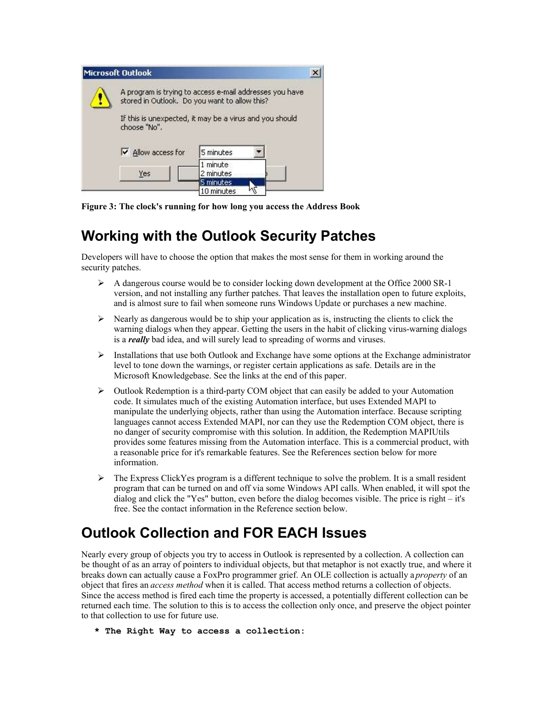| <b>Microsoft Outlook</b> |                                                                                                          |                         |  |
|--------------------------|----------------------------------------------------------------------------------------------------------|-------------------------|--|
|                          | A program is trying to access e-mail addresses you have<br>stored in Outlook. Do you want to allow this? |                         |  |
|                          | If this is unexpected, it may be a virus and you should<br>choose "No".                                  |                         |  |
|                          | $\overline{\triangledown}$ Allow access for                                                              | 5 minutes               |  |
|                          | Yes                                                                                                      | 1 minute<br>2 minutes   |  |
|                          |                                                                                                          | 5 minutes<br>10 minutes |  |

**Figure 3: The clock's running for how long you access the Address Book**

### **Working with the Outlook Security Patches**

Developers will have to choose the option that makes the most sense for them in working around the security patches.

- $\triangleright$  A dangerous course would be to consider locking down development at the Office 2000 SR-1 version, and not installing any further patches. That leaves the installation open to future exploits, and is almost sure to fail when someone runs Windows Update or purchases a new machine.
- $\triangleright$  Nearly as dangerous would be to ship your application as is, instructing the clients to click the warning dialogs when they appear. Getting the users in the habit of clicking virus-warning dialogs is a *really* bad idea, and will surely lead to spreading of worms and viruses.
- $\triangleright$  Installations that use both Outlook and Exchange have some options at the Exchange administrator level to tone down the warnings, or register certain applications as safe. Details are in the Microsoft Knowledgebase. See the links at the end of this paper.
- $\triangleright$  Outlook Redemption is a third-party COM object that can easily be added to your Automation code. It simulates much of the existing Automation interface, but uses Extended MAPI to manipulate the underlying objects, rather than using the Automation interface. Because scripting languages cannot access Extended MAPI, nor can they use the Redemption COM object, there is no danger of security compromise with this solution. In addition, the Redemption MAPIUtils provides some features missing from the Automation interface. This is a commercial product, with a reasonable price for it's remarkable features. See the References section below for more information.
- $\triangleright$  The Express ClickYes program is a different technique to solve the problem. It is a small resident program that can be turned on and off via some Windows API calls. When enabled, it will spot the dialog and click the "Yes" button, even before the dialog becomes visible. The price is right – it's free. See the contact information in the Reference section below.

# **Outlook Collection and FOR EACH Issues**

Nearly every group of objects you try to access in Outlook is represented by a collection. A collection can be thought of as an array of pointers to individual objects, but that metaphor is not exactly true, and where it breaks down can actually cause a FoxPro programmer grief. An OLE collection is actually a *property* of an object that fires an *access method* when it is called. That access method returns a collection of objects. Since the access method is fired each time the property is accessed, a potentially different collection can be returned each time. The solution to this is to access the collection only once, and preserve the object pointer to that collection to use for future use.

#### **\* The Right Way to access a collection:**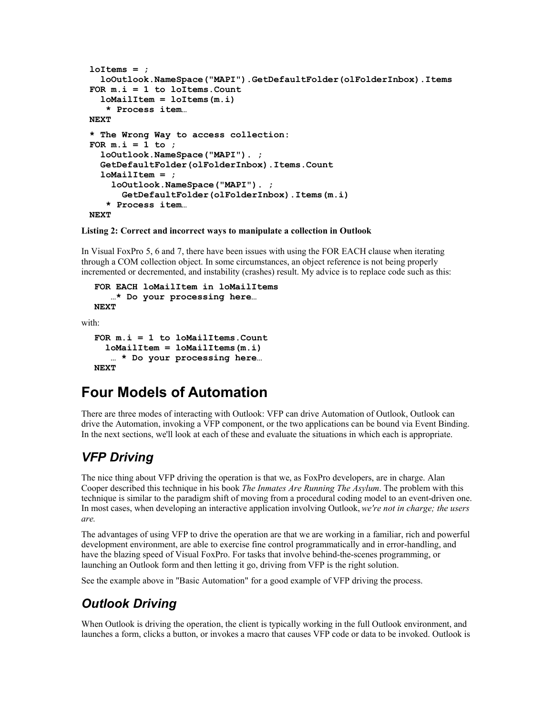```
loItems = ;
   loOutlook.NameSpace("MAPI").GetDefaultFolder(olFolderInbox).Items
FOR m.i = 1 to loItems.Count
   loMailItem = loItems(m.i)
    * Process item…
NEXT
* The Wrong Way to access collection:
FOR m.i = 1 to ;
   loOutlook.NameSpace("MAPI"). ;
   GetDefaultFolder(olFolderInbox).Items.Count
   loMailItem = ;
     loOutlook.NameSpace("MAPI"). ;
       GetDefaultFolder(olFolderInbox).Items(m.i)
    * Process item…
NEXT
```
**Listing 2: Correct and incorrect ways to manipulate a collection in Outlook**

In Visual FoxPro 5, 6 and 7, there have been issues with using the FOR EACH clause when iterating through a COM collection object. In some circumstances, an object reference is not being properly incremented or decremented, and instability (crashes) result. My advice is to replace code such as this:

```
FOR EACH loMailItem in loMailItems
    …* Do your processing here…
NEXT
```
with:

```
FOR m.i = 1 to loMailItems.Count
   loMailItem = loMailItems(m.i)
   … * Do your processing here…
NEXT
```
# **Four Models of Automation**

There are three modes of interacting with Outlook: VFP can drive Automation of Outlook, Outlook can drive the Automation, invoking a VFP component, or the two applications can be bound via Event Binding. In the next sections, we'll look at each of these and evaluate the situations in which each is appropriate.

#### *VFP Driving*

The nice thing about VFP driving the operation is that we, as FoxPro developers, are in charge. Alan Cooper described this technique in his book *The Inmates Are Running The Asylum*. The problem with this technique is similar to the paradigm shift of moving from a procedural coding model to an event-driven one. In most cases, when developing an interactive application involving Outlook, *we're not in charge; the users are.*

The advantages of using VFP to drive the operation are that we are working in a familiar, rich and powerful development environment, are able to exercise fine control programmatically and in error-handling, and have the blazing speed of Visual FoxPro. For tasks that involve behind-the-scenes programming, or launching an Outlook form and then letting it go, driving from VFP is the right solution.

See the example above in "Basic Automation" for a good example of VFP driving the process.

#### *Outlook Driving*

When Outlook is driving the operation, the client is typically working in the full Outlook environment, and launches a form, clicks a button, or invokes a macro that causes VFP code or data to be invoked. Outlook is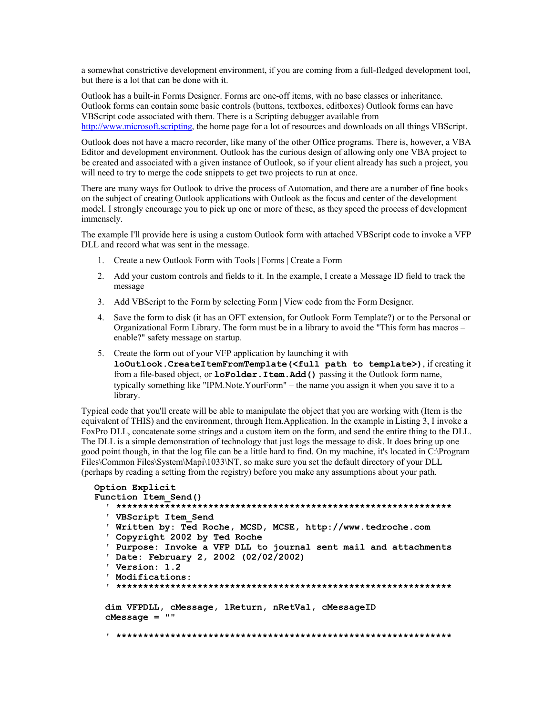a somewhat constrictive development environment, if you are coming from a full-fledged development tool, but there is a lot that can be done with it.

Outlook has a built-in Forms Designer. Forms are one-off items, with no base classes or inheritance. Outlook forms can contain some basic controls (buttons, textboxes, editboxes) Outlook forms can have VBScript code associated with them. There is a Scripting debugger available from http://www.microsoft.scripting, the home page for a lot of resources and downloads on all things VBScript.

Outlook does not have a macro recorder, like many of the other Office programs. There is, however, a VBA Editor and development environment. Outlook has the curious design of allowing only one VBA project to be created and associated with a given instance of Outlook, so if your client already has such a project, you will need to try to merge the code snippets to get two projects to run at once.

There are many ways for Outlook to drive the process of Automation, and there are a number of fine books on the subject of creating Outlook applications with Outlook as the focus and center of the development model. I strongly encourage you to pick up one or more of these, as they speed the process of development immensely.

The example I'll provide here is using a custom Outlook form with attached VBScript code to invoke a VFP DLL and record what was sent in the message.

- 1. Create a new Outlook Form with Tools | Forms | Create a Form
- 2. Add your custom controls and fields to it. In the example, I create a Message ID field to track the message
- 3. Add VBScript to the Form by selecting Form | View code from the Form Designer.
- 4. Save the form to disk (it has an OFT extension, for Outlook Form Template?) or to the Personal or Organizational Form Library. The form must be in a library to avoid the "This form has macros – enable?" safety message on startup.
- 5. Create the form out of your VFP application by launching it with **loOutlook.CreateItemFromTemplate(<full path to template>)**, if creating it from a file-based object, or **loFolder.Item.Add()** passing it the Outlook form name, typically something like "IPM.Note.YourForm" – the name you assign it when you save it to a library.

Typical code that you'll create will be able to manipulate the object that you are working with (Item is the equivalent of THIS) and the environment, through Item.Application. In the example in Listing 3, I invoke a FoxPro DLL, concatenate some strings and a custom item on the form, and send the entire thing to the DLL. The DLL is a simple demonstration of technology that just logs the message to disk. It does bring up one good point though, in that the log file can be a little hard to find. On my machine, it's located in C:\Program Files\Common Files\System\Mapi\1033\NT, so make sure you set the default directory of your DLL (perhaps by reading a setting from the registry) before you make any assumptions about your path.

```
Option Explicit
Function Item_Send()
   ' **************************************************************
   ' VBScript Item_Send
   ' Written by: Ted Roche, MCSD, MCSE, http://www.tedroche.com
   ' Copyright 2002 by Ted Roche
   ' Purpose: Invoke a VFP DLL to journal sent mail and attachments
   ' Date: February 2, 2002 (02/02/2002)
   ' Version: 1.2
   ' Modifications:
   ' **************************************************************
   dim VFPDLL, cMessage, lReturn, nRetVal, cMessageID
   cMessage = ""
   ' **************************************************************
```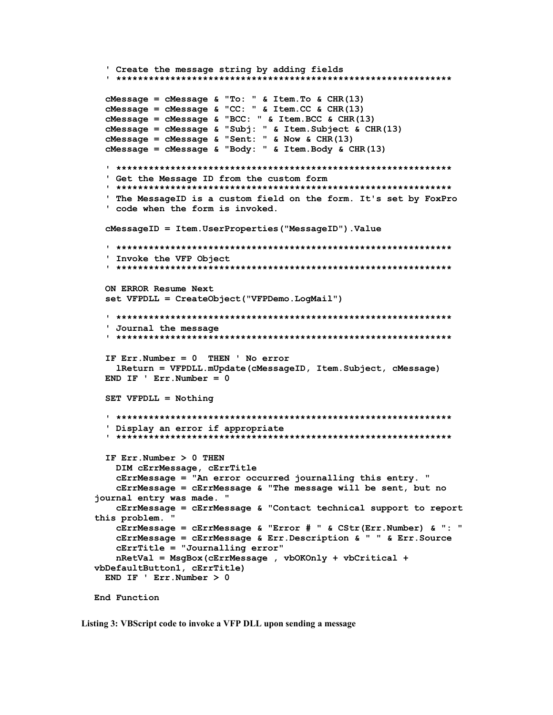```
 ' Create the message string by adding fields
   ' **************************************************************
   cMessage = cMessage & "To: " & Item.To & CHR(13)
   cMessage = cMessage & "CC: " & Item.CC & CHR(13)
   cMessage = cMessage & "BCC: " & Item.BCC & CHR(13)
   cMessage = cMessage & "Subj: " & Item.Subject & CHR(13)
   cMessage = cMessage & "Sent: " & Now & CHR(13)
   cMessage = cMessage & "Body: " & Item.Body & CHR(13)
   ' **************************************************************
   ' Get the Message ID from the custom form
   ' **************************************************************
   ' The MessageID is a custom field on the form. It's set by FoxPro
   ' code when the form is invoked.
  cMessageID = Item.UserProperties("MessageID").Value
   ' **************************************************************
   ' Invoke the VFP Object
   ' **************************************************************
   ON ERROR Resume Next
   set VFPDLL = CreateObject("VFPDemo.LogMail")
   ' **************************************************************
   ' Journal the message
   ' **************************************************************
   IF Err.Number = 0 THEN ' No error
     lReturn = VFPDLL.mUpdate(cMessageID, Item.Subject, cMessage)
  END IF ' Err.Number = 0
  SET VFPDLL = Nothing
   ' **************************************************************
   ' Display an error if appropriate
   ' **************************************************************
  IF Err.Number > 0 THEN
    DIM cErrMessage, cErrTitle
     cErrMessage = "An error occurred journalling this entry. "
     cErrMessage = cErrMessage & "The message will be sent, but no
journal entry was made. "
     cErrMessage = cErrMessage & "Contact technical support to report
this problem. "
     cErrMessage = cErrMessage & "Error # " & CStr(Err.Number) & ": " 
     cErrMessage = cErrMessage & Err.Description & " " & Err.Source 
     cErrTitle = "Journalling error"
     nRetVal = MsgBox(cErrMessage , vbOKOnly + vbCritical +
vbDefaultButton1, cErrTitle)
  END IF ' Err.Number > 0
End Function
```
**Listing 3: VBScript code to invoke a VFP DLL upon sending a message**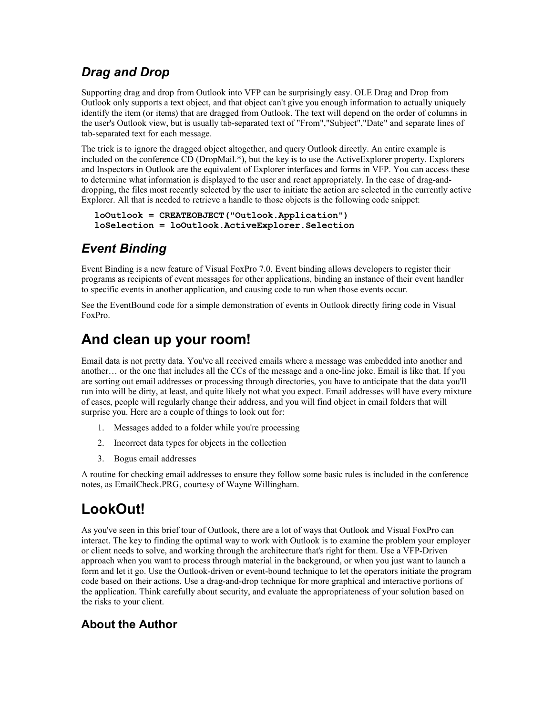#### *Drag and Drop*

Supporting drag and drop from Outlook into VFP can be surprisingly easy. OLE Drag and Drop from Outlook only supports a text object, and that object can't give you enough information to actually uniquely identify the item (or items) that are dragged from Outlook. The text will depend on the order of columns in the user's Outlook view, but is usually tab-separated text of "From","Subject","Date" and separate lines of tab-separated text for each message.

The trick is to ignore the dragged object altogether, and query Outlook directly. An entire example is included on the conference CD (DropMail.\*), but the key is to use the ActiveExplorer property. Explorers and Inspectors in Outlook are the equivalent of Explorer interfaces and forms in VFP. You can access these to determine what information is displayed to the user and react appropriately. In the case of drag-anddropping, the files most recently selected by the user to initiate the action are selected in the currently active Explorer. All that is needed to retrieve a handle to those objects is the following code snippet:

```
loOutlook = CREATEOBJECT("Outlook.Application")
loSelection = loOutlook.ActiveExplorer.Selection
```
#### *Event Binding*

Event Binding is a new feature of Visual FoxPro 7.0. Event binding allows developers to register their programs as recipients of event messages for other applications, binding an instance of their event handler to specific events in another application, and causing code to run when those events occur.

See the EventBound code for a simple demonstration of events in Outlook directly firing code in Visual FoxPro.

### **And clean up your room!**

Email data is not pretty data. You've all received emails where a message was embedded into another and another… or the one that includes all the CCs of the message and a one-line joke. Email is like that. If you are sorting out email addresses or processing through directories, you have to anticipate that the data you'll run into will be dirty, at least, and quite likely not what you expect. Email addresses will have every mixture of cases, people will regularly change their address, and you will find object in email folders that will surprise you. Here are a couple of things to look out for:

- 1. Messages added to a folder while you're processing
- 2. Incorrect data types for objects in the collection
- 3. Bogus email addresses

A routine for checking email addresses to ensure they follow some basic rules is included in the conference notes, as EmailCheck.PRG, courtesy of Wayne Willingham.

### **LookOut!**

As you've seen in this brief tour of Outlook, there are a lot of ways that Outlook and Visual FoxPro can interact. The key to finding the optimal way to work with Outlook is to examine the problem your employer or client needs to solve, and working through the architecture that's right for them. Use a VFP-Driven approach when you want to process through material in the background, or when you just want to launch a form and let it go. Use the Outlook-driven or event-bound technique to let the operators initiate the program code based on their actions. Use a drag-and-drop technique for more graphical and interactive portions of the application. Think carefully about security, and evaluate the appropriateness of your solution based on the risks to your client.

#### **About the Author**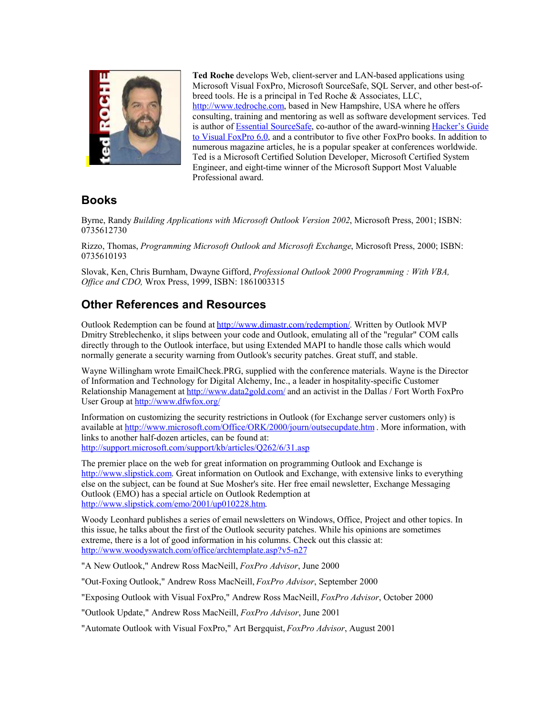

**Ted Roche** develops Web, client-server and LAN-based applications using Microsoft Visual FoxPro, Microsoft SourceSafe, SQL Server, and other best-ofbreed tools. He is a principal in Ted Roche & Associates, LLC, http://www.tedroche.com, based in New Hampshire, USA where he offers consulting, training and mentoring as well as software development services. Ted is author of Essential SourceSafe, co-author of the award-winning Hacker's Guide to Visual FoxPro 6.0, and a contributor to five other FoxPro books. In addition to numerous magazine articles, he is a popular speaker at conferences worldwide. Ted is a Microsoft Certified Solution Developer, Microsoft Certified System Engineer, and eight-time winner of the Microsoft Support Most Valuable Professional award.

#### **Books**

Byrne, Randy *Building Applications with Microsoft Outlook Version 2002*, Microsoft Press, 2001; ISBN: 0735612730

Rizzo, Thomas, *Programming Microsoft Outlook and Microsoft Exchange*, Microsoft Press, 2000; ISBN: 0735610193

Slovak, Ken, Chris Burnham, Dwayne Gifford, *Professional Outlook 2000 Programming : With VBA, Office and CDO,* Wrox Press, 1999, ISBN: 1861003315

#### **Other References and Resources**

Outlook Redemption can be found at http://www.dimastr.com/redemption/. Written by Outlook MVP Dmitry Streblechenko, it slips between your code and Outlook, emulating all of the "regular" COM calls directly through to the Outlook interface, but using Extended MAPI to handle those calls which would normally generate a security warning from Outlook's security patches. Great stuff, and stable.

Wayne Willingham wrote EmailCheck.PRG, supplied with the conference materials. Wayne is the Director of Information and Technology for Digital Alchemy, Inc., a leader in hospitality-specific Customer Relationship Management at http://www.data2gold.com/ and an activist in the Dallas / Fort Worth FoxPro User Group at http://www.dfwfox.org/

Information on customizing the security restrictions in Outlook (for Exchange server customers only) is available at http://www.microsoft.com/Office/ORK/2000/journ/outsecupdate.htm . More information, with links to another half-dozen articles, can be found at: http://support.microsoft.com/support/kb/articles/Q262/6/31.asp

The premier place on the web for great information on programming Outlook and Exchange is http://www.slipstick.com. Great information on Outlook and Exchange, with extensive links to everything else on the subject, can be found at Sue Mosher's site. Her free email newsletter, Exchange Messaging Outlook (EMO) has a special article on Outlook Redemption at http://www.slipstick.com/emo/2001/up010228.htm.

Woody Leonhard publishes a series of email newsletters on Windows, Office, Project and other topics. In this issue, he talks about the first of the Outlook security patches. While his opinions are sometimes extreme, there is a lot of good information in his columns. Check out this classic at: http://www.woodyswatch.com/office/archtemplate.asp?v5-n27

"A New Outlook," Andrew Ross MacNeill, *FoxPro Advisor*, June 2000

"Out-Foxing Outlook," Andrew Ross MacNeill, *FoxPro Advisor*, September 2000

"Exposing Outlook with Visual FoxPro," Andrew Ross MacNeill, *FoxPro Advisor*, October 2000

"Outlook Update," Andrew Ross MacNeill, *FoxPro Advisor*, June 2001

"Automate Outlook with Visual FoxPro," Art Bergquist, *FoxPro Advisor*, August 2001